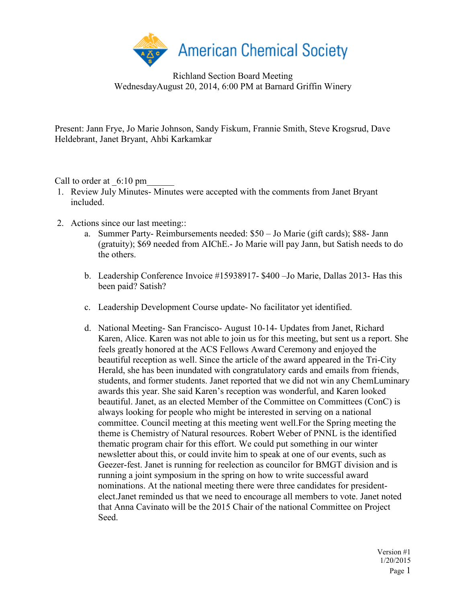

Richland Section Board Meeting WednesdayAugust 20, 2014, 6:00 PM at Barnard Griffin Winery

Present: Jann Frye, Jo Marie Johnson, Sandy Fiskum, Frannie Smith, Steve Krogsrud, Dave Heldebrant, Janet Bryant, Ahbi Karkamkar

Call to order at  $6:10 \text{ pm}$ 

- 1. Review July Minutes- Minutes were accepted with the comments from Janet Bryant included.
- 2. Actions since our last meeting::
	- a. Summer Party- Reimbursements needed: \$50 Jo Marie (gift cards); \$88- Jann (gratuity); \$69 needed from AIChE.- Jo Marie will pay Jann, but Satish needs to do the others.
	- b. Leadership Conference Invoice #15938917- \$400 –Jo Marie, Dallas 2013- Has this been paid? Satish?
	- c. Leadership Development Course update- No facilitator yet identified.
	- d. National Meeting- San Francisco- August 10-14- Updates from Janet, Richard Karen, Alice. Karen was not able to join us for this meeting, but sent us a report. She feels greatly honored at the ACS Fellows Award Ceremony and enjoyed the beautiful reception as well. Since the article of the award appeared in the Tri-City Herald, she has been inundated with congratulatory cards and emails from friends, students, and former students. Janet reported that we did not win any ChemLuminary awards this year. She said Karen's reception was wonderful, and Karen looked beautiful. Janet, as an elected Member of the Committee on Committees (ConC) is always looking for people who might be interested in serving on a national committee. Council meeting at this meeting went well.For the Spring meeting the theme is Chemistry of Natural resources. Robert Weber of PNNL is the identified thematic program chair for this effort. We could put something in our winter newsletter about this, or could invite him to speak at one of our events, such as Geezer-fest. Janet is running for reelection as councilor for BMGT division and is running a joint symposium in the spring on how to write successful award nominations. At the national meeting there were three candidates for presidentelect.Janet reminded us that we need to encourage all members to vote. Janet noted that Anna Cavinato will be the 2015 Chair of the national Committee on Project Seed.

Version #1 1/20/2015 Page 1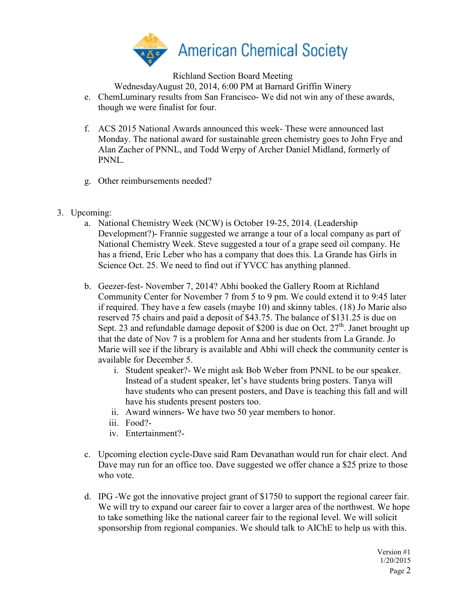

Richland Section Board Meeting

WednesdayAugust 20, 2014, 6:00 PM at Barnard Griffin Winery

- e. ChemLuminary results from San Francisco- We did not win any of these awards, though we were finalist for four.
- f. ACS 2015 National Awards announced this week- These were announced last Monday. The national award for sustainable green chemistry goes to John Frye and Alan Zacher of PNNL, and Todd Werpy of Archer Daniel Midland, formerly of PNNL.
- g. Other reimbursements needed?
- 3. Upcoming:
	- a. National Chemistry Week (NCW) is October 19-25, 2014. (Leadership Development?)- Frannie suggested we arrange a tour of a local company as part of National Chemistry Week. Steve suggested a tour of a grape seed oil company. He has a friend, Eric Leber who has a company that does this. La Grande has Girls in Science Oct. 25. We need to find out if YVCC has anything planned.
	- b. Geezer-fest- November 7, 2014? Abhi booked the Gallery Room at Richland Community Center for November 7 from 5 to 9 pm. We could extend it to 9:45 later if required. They have a few easels (maybe 10) and skinny tables. (18) Jo Marie also reserved 75 chairs and paid a deposit of \$43.75. The balance of \$131.25 is due on Sept. 23 and refundable damage deposit of \$200 is due on Oct.  $27<sup>th</sup>$ . Janet brought up that the date of Nov 7 is a problem for Anna and her students from La Grande. Jo Marie will see if the library is available and Abhi will check the community center is available for December 5.
		- i. Student speaker?- We might ask Bob Weber from PNNL to be our speaker. Instead of a student speaker, let's have students bring posters. Tanya will have students who can present posters, and Dave is teaching this fall and will have his students present posters too.
		- ii. Award winners- We have two 50 year members to honor.
		- iii. Food?-
		- iv. Entertainment?-
	- c. Upcoming election cycle-Dave said Ram Devanathan would run for chair elect. And Dave may run for an office too. Dave suggested we offer chance a \$25 prize to those who vote.
	- d. IPG -We got the innovative project grant of \$1750 to support the regional career fair. We will try to expand our career fair to cover a larger area of the northwest. We hope to take something like the national career fair to the regional level. We will solicit sponsorship from regional companies. We should talk to AIChE to help us with this.